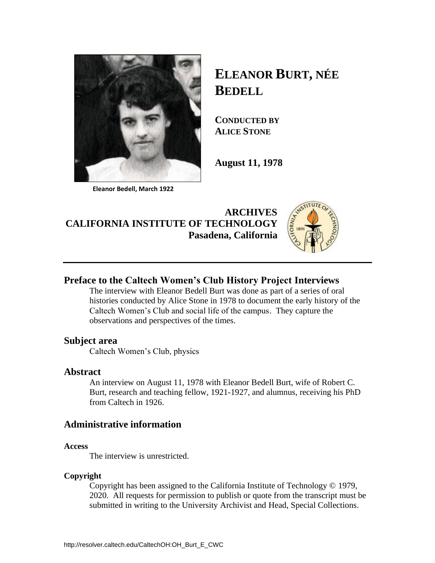

 **Eleanor Bedell, March 1922** 

# **ELEANOR BURT, NÉE BEDELL**

**CONDUCTED BY ALICE STONE**

**August 11, 1978**

**ARCHIVES CALIFORNIA INSTITUTE OF TECHNOLOGY Pasadena, California**



## **Preface to the Caltech Women's Club History Project Interviews**

The interview with Eleanor Bedell Burt was done as part of a series of oral histories conducted by Alice Stone in 1978 to document the early history of the Caltech Women's Club and social life of the campus. They capture the observations and perspectives of the times.

## **Subject area**

Caltech Women's Club, physics

## **Abstract**

An interview on August 11, 1978 with Eleanor Bedell Burt, wife of Robert C. Burt, research and teaching fellow, 1921-1927, and alumnus, receiving his PhD from Caltech in 1926.

## **Administrative information**

#### **Access**

The interview is unrestricted.

## **Copyright**

Copyright has been assigned to the California Institute of Technology © 1979, 2020. All requests for permission to publish or quote from the transcript must be submitted in writing to the University Archivist and Head, Special Collections.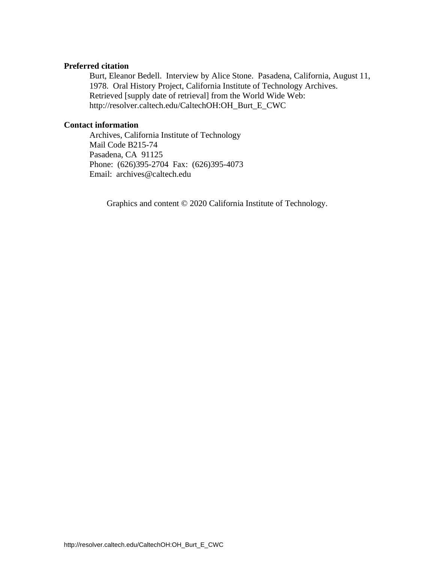#### **Preferred citation**

Burt, Eleanor Bedell. Interview by Alice Stone. Pasadena, California, August 11, 1978. Oral History Project, California Institute of Technology Archives. Retrieved [supply date of retrieval] from the World Wide Web: http://resolver.caltech.edu/CaltechOH:OH\_Burt\_E\_CWC

#### **Contact information**

Archives, California Institute of Technology Mail Code B215-74 Pasadena, CA 91125 Phone: (626)395-2704 Fax: (626)395-4073 Email: archives@caltech.edu

Graphics and content © 2020 California Institute of Technology.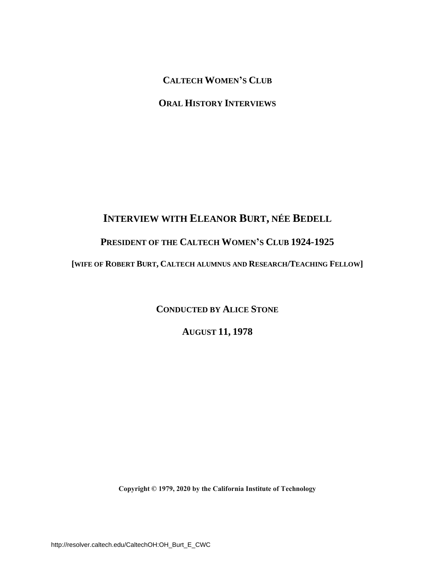**CALTECH WOMEN'S CLUB** 

**ORAL HISTORY INTERVIEWS**

## **INTERVIEW WITH ELEANOR BURT, NÉE BEDELL**

## **PRESIDENT OF THE CALTECH WOMEN'S CLUB 1924-1925**

**[WIFE OF ROBERT BURT, CALTECH ALUMNUS AND RESEARCH/TEACHING FELLOW]** 

**CONDUCTED BY ALICE STONE**

**AUGUST 11, 1978** 

**Copyright © 1979, 2020 by the California Institute of Technology**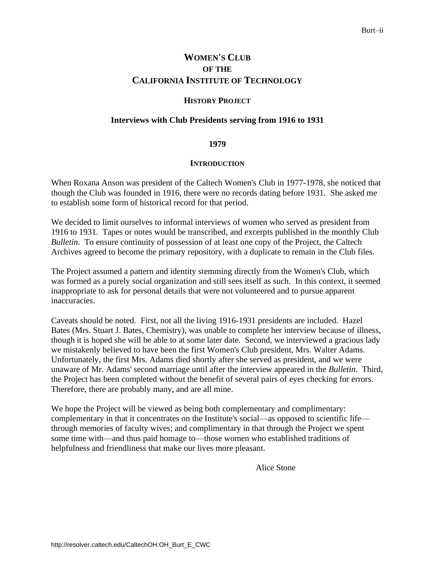## **WOMEN'S CLUB OF THE CALIFORNIA INSTITUTE OF TECHNOLOGY**

#### **HISTORY PROJECT**

#### **Interviews with Club Presidents serving from 1916 to 1931**

#### **1979**

#### **INTRODUCTION**

When Roxana Anson was president of the Caltech Women's Club in 1977-1978, she noticed that though the Club was founded in 1916, there were no records dating before 1931. She asked me to establish some form of historical record for that period.

We decided to limit ourselves to informal interviews of women who served as president from 1916 to 1931. Tapes or notes would be transcribed, and excerpts published in the monthly Club *Bulletin*. To ensure continuity of possession of at least one copy of the Project, the Caltech Archives agreed to become the primary repository, with a duplicate to remain in the Club files.

The Project assumed a pattern and identity stemming directly from the Women's Club, which was formed as a purely social organization and still sees itself as such. In this context, it seemed inappropriate to ask for personal details that were not volunteered and to pursue apparent inaccuracies.

Caveats should be noted. First, not all the living 1916-1931 presidents are included. Hazel Bates (Mrs. Stuart J. Bates, Chemistry), was unable to complete her interview because of illness, though it is hoped she will be able to at some later date. Second, we interviewed a gracious lady we mistakenly believed to have been the first Women's Club president, Mrs. Walter Adams. Unfortunately, the first Mrs. Adams died shortly after she served as president, and we were unaware of Mr. Adams' second marriage until after the interview appeared in the *Bulletin*. Third, the Project has been completed without the benefit of several pairs of eyes checking for errors. Therefore, there are probably many, and are all mine.

We hope the Project will be viewed as being both complementary and complimentary: complementary in that it concentrates on the Institute's social—as opposed to scientific life through memories of faculty wives; and complimentary in that through the Project we spent some time with—and thus paid homage to—those women who established traditions of helpfulness and friendliness that make our lives more pleasant.

Alice Stone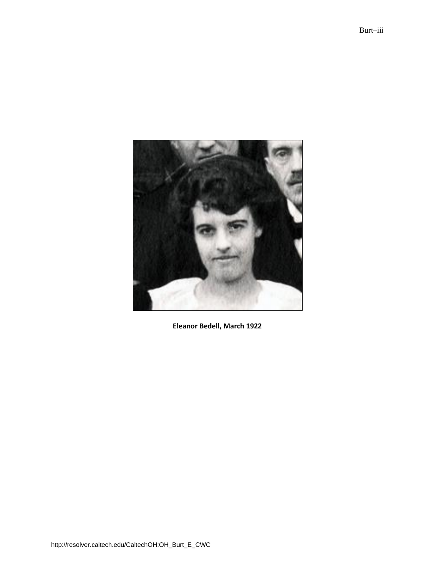

**Eleanor Bedell, March 1922**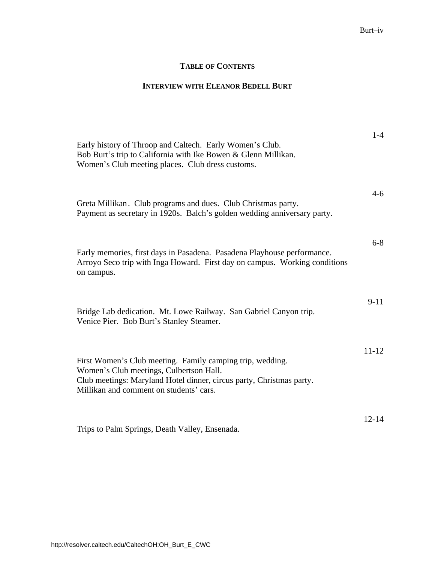#### **TABLE OF CONTENTS**

#### **INTERVIEW WITH ELEANOR BEDELL BURT**

| Early history of Throop and Caltech. Early Women's Club.<br>Bob Burt's trip to California with Ike Bowen & Glenn Millikan.<br>Women's Club meeting places. Club dress customs.                                          | $1-4$     |
|-------------------------------------------------------------------------------------------------------------------------------------------------------------------------------------------------------------------------|-----------|
| Greta Millikan. Club programs and dues. Club Christmas party.<br>Payment as secretary in 1920s. Balch's golden wedding anniversary party.                                                                               | $4-6$     |
| Early memories, first days in Pasadena. Pasadena Playhouse performance.<br>Arroyo Seco trip with Inga Howard. First day on campus. Working conditions<br>on campus.                                                     | $6 - 8$   |
| Bridge Lab dedication. Mt. Lowe Railway. San Gabriel Canyon trip.<br>Venice Pier. Bob Burt's Stanley Steamer.                                                                                                           | $9-11$    |
| First Women's Club meeting. Family camping trip, wedding.<br>Women's Club meetings, Culbertson Hall.<br>Club meetings: Maryland Hotel dinner, circus party, Christmas party.<br>Millikan and comment on students' cars. | $11 - 12$ |
|                                                                                                                                                                                                                         | $12 - 14$ |

[Trips to Palm Springs, Death Valley,](#page-17-0) Ensenada.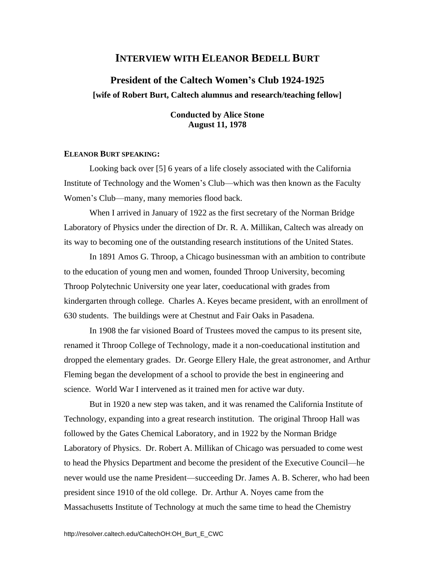### **INTERVIEW WITH ELEANOR BEDELL BURT**

## <span id="page-6-0"></span>**President of the Caltech Women's Club 1924-1925 [wife of Robert Burt, Caltech alumnus and research/teaching fellow]**

#### **Conducted by Alice Stone August 11, 1978**

#### **ELEANOR BURT SPEAKING:**

Looking back over [5] 6 years of a life closely associated with the California Institute of Technology and the Women's Club—which was then known as the Faculty Women's Club—many, many memories flood back.

When I arrived in January of 1922 as the first secretary of the Norman Bridge Laboratory of Physics under the direction of Dr. R. A. Millikan, Caltech was already on its way to becoming one of the outstanding research institutions of the United States.

In 1891 Amos G. Throop, a Chicago businessman with an ambition to contribute to the education of young men and women, founded Throop University, becoming Throop Polytechnic University one year later, coeducational with grades from kindergarten through college. Charles A. Keyes became president, with an enrollment of 630 students. The buildings were at Chestnut and Fair Oaks in Pasadena.

In 1908 the far visioned Board of Trustees moved the campus to its present site, renamed it Throop College of Technology, made it a non-coeducational institution and dropped the elementary grades. Dr. George Ellery Hale, the great astronomer, and Arthur Fleming began the development of a school to provide the best in engineering and science. World War I intervened as it trained men for active war duty.

But in 1920 a new step was taken, and it was renamed the California Institute of Technology, expanding into a great research institution. The original Throop Hall was followed by the Gates Chemical Laboratory, and in 1922 by the Norman Bridge Laboratory of Physics. Dr. Robert A. Millikan of Chicago was persuaded to come west to head the Physics Department and become the president of the Executive Council—he never would use the name President—succeeding Dr. James A. B. Scherer, who had been president since 1910 of the old college. Dr. Arthur A. Noyes came from the Massachusetts Institute of Technology at much the same time to head the Chemistry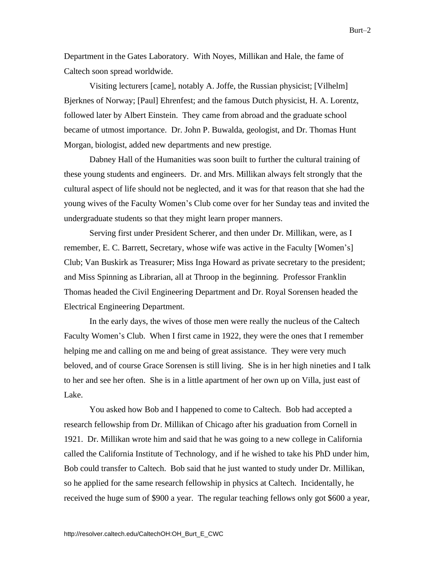Department in the Gates Laboratory. With Noyes, Millikan and Hale, the fame of Caltech soon spread worldwide.

Visiting lecturers [came], notably A. Joffe, the Russian physicist; [Vilhelm] Bjerknes of Norway; [Paul] Ehrenfest; and the famous Dutch physicist, H. A. Lorentz, followed later by Albert Einstein. They came from abroad and the graduate school became of utmost importance. Dr. John P. Buwalda, geologist, and Dr. Thomas Hunt Morgan, biologist, added new departments and new prestige.

Dabney Hall of the Humanities was soon built to further the cultural training of these young students and engineers. Dr. and Mrs. Millikan always felt strongly that the cultural aspect of life should not be neglected, and it was for that reason that she had the young wives of the Faculty Women's Club come over for her Sunday teas and invited the undergraduate students so that they might learn proper manners.

Serving first under President Scherer, and then under Dr. Millikan, were, as I remember, E. C. Barrett, Secretary, whose wife was active in the Faculty [Women's] Club; Van Buskirk as Treasurer; Miss Inga Howard as private secretary to the president; and Miss Spinning as Librarian, all at Throop in the beginning. Professor Franklin Thomas headed the Civil Engineering Department and Dr. Royal Sorensen headed the Electrical Engineering Department.

In the early days, the wives of those men were really the nucleus of the Caltech Faculty Women's Club. When I first came in 1922, they were the ones that I remember helping me and calling on me and being of great assistance. They were very much beloved, and of course Grace Sorensen is still living. She is in her high nineties and I talk to her and see her often. She is in a little apartment of her own up on Villa, just east of Lake.

You asked how Bob and I happened to come to Caltech. Bob had accepted a research fellowship from Dr. Millikan of Chicago after his graduation from Cornell in 1921. Dr. Millikan wrote him and said that he was going to a new college in California called the California Institute of Technology, and if he wished to take his PhD under him, Bob could transfer to Caltech. Bob said that he just wanted to study under Dr. Millikan, so he applied for the same research fellowship in physics at Caltech. Incidentally, he received the huge sum of \$900 a year. The regular teaching fellows only got \$600 a year,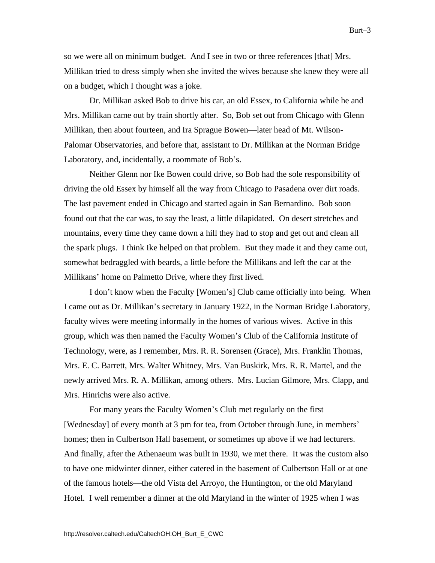so we were all on minimum budget. And I see in two or three references [that] Mrs. Millikan tried to dress simply when she invited the wives because she knew they were all on a budget, which I thought was a joke.

Dr. Millikan asked Bob to drive his car, an old Essex, to California while he and Mrs. Millikan came out by train shortly after. So, Bob set out from Chicago with Glenn Millikan, then about fourteen, and Ira Sprague Bowen—later head of Mt. Wilson-Palomar Observatories, and before that, assistant to Dr. Millikan at the Norman Bridge Laboratory, and, incidentally, a roommate of Bob's.

Neither Glenn nor Ike Bowen could drive, so Bob had the sole responsibility of driving the old Essex by himself all the way from Chicago to Pasadena over dirt roads. The last pavement ended in Chicago and started again in San Bernardino. Bob soon found out that the car was, to say the least, a little dilapidated. On desert stretches and mountains, every time they came down a hill they had to stop and get out and clean all the spark plugs. I think Ike helped on that problem. But they made it and they came out, somewhat bedraggled with beards, a little before the Millikans and left the car at the Millikans' home on Palmetto Drive, where they first lived.

I don't know when the Faculty [Women's] Club came officially into being. When I came out as Dr. Millikan's secretary in January 1922, in the Norman Bridge Laboratory, faculty wives were meeting informally in the homes of various wives. Active in this group, which was then named the Faculty Women's Club of the California Institute of Technology, were, as I remember, Mrs. R. R. Sorensen (Grace), Mrs. Franklin Thomas, Mrs. E. C. Barrett, Mrs. Walter Whitney, Mrs. Van Buskirk, Mrs. R. R. Martel, and the newly arrived Mrs. R. A. Millikan, among others. Mrs. Lucian Gilmore, Mrs. Clapp, and Mrs. Hinrichs were also active.

For many years the Faculty Women's Club met regularly on the first [Wednesday] of every month at 3 pm for tea, from October through June, in members' homes; then in Culbertson Hall basement, or sometimes up above if we had lecturers. And finally, after the Athenaeum was built in 1930, we met there. It was the custom also to have one midwinter dinner, either catered in the basement of Culbertson Hall or at one of the famous hotels—the old Vista del Arroyo, the Huntington, or the old Maryland Hotel. I well remember a dinner at the old Maryland in the winter of 1925 when I was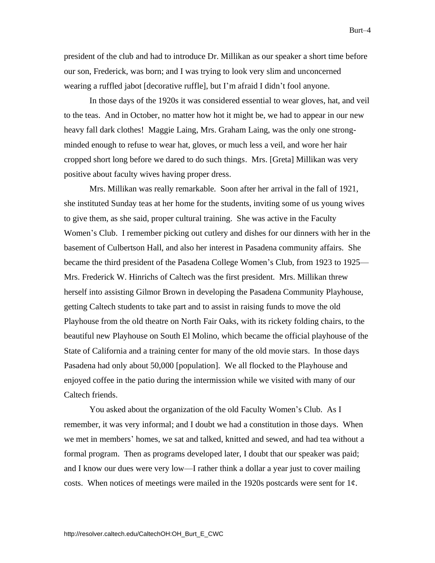<span id="page-9-0"></span>president of the club and had to introduce Dr. Millikan as our speaker a short time before our son, Frederick, was born; and I was trying to look very slim and unconcerned wearing a ruffled jabot [decorative ruffle], but I'm afraid I didn't fool anyone.

In those days of the 1920s it was considered essential to wear gloves, hat, and veil to the teas. And in October, no matter how hot it might be, we had to appear in our new heavy fall dark clothes! Maggie Laing, Mrs. Graham Laing, was the only one strongminded enough to refuse to wear hat, gloves, or much less a veil, and wore her hair cropped short long before we dared to do such things. Mrs. [Greta] Millikan was very positive about faculty wives having proper dress.

Mrs. Millikan was really remarkable. Soon after her arrival in the fall of 1921, she instituted Sunday teas at her home for the students, inviting some of us young wives to give them, as she said, proper cultural training. She was active in the Faculty Women's Club. I remember picking out cutlery and dishes for our dinners with her in the basement of Culbertson Hall, and also her interest in Pasadena community affairs. She became the third president of the Pasadena College Women's Club, from 1923 to 1925— Mrs. Frederick W. Hinrichs of Caltech was the first president. Mrs. Millikan threw herself into assisting Gilmor Brown in developing the Pasadena Community Playhouse, getting Caltech students to take part and to assist in raising funds to move the old Playhouse from the old theatre on North Fair Oaks, with its rickety folding chairs, to the beautiful new Playhouse on South El Molino, which became the official playhouse of the State of California and a training center for many of the old movie stars. In those days Pasadena had only about 50,000 [population]. We all flocked to the Playhouse and enjoyed coffee in the patio during the intermission while we visited with many of our Caltech friends.

You asked about the organization of the old Faculty Women's Club. As I remember, it was very informal; and I doubt we had a constitution in those days. When we met in members' homes, we sat and talked, knitted and sewed, and had tea without a formal program. Then as programs developed later, I doubt that our speaker was paid; and I know our dues were very low—I rather think a dollar a year just to cover mailing costs. When notices of meetings were mailed in the 1920s postcards were sent for  $1\phi$ .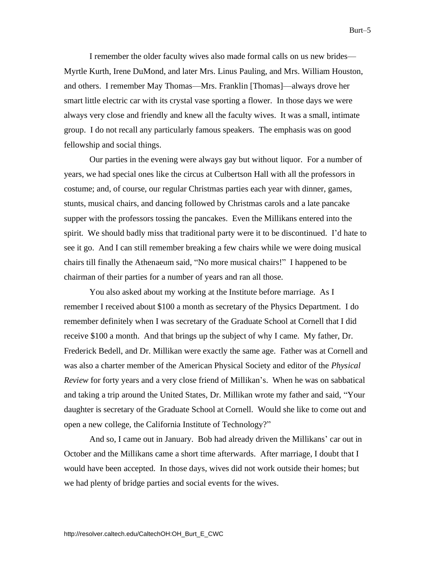I remember the older faculty wives also made formal calls on us new brides— Myrtle Kurth, Irene DuMond, and later Mrs. Linus Pauling, and Mrs. William Houston, and others. I remember May Thomas—Mrs. Franklin [Thomas]—always drove her smart little electric car with its crystal vase sporting a flower. In those days we were always very close and friendly and knew all the faculty wives. It was a small, intimate group. I do not recall any particularly famous speakers. The emphasis was on good fellowship and social things.

Our parties in the evening were always gay but without liquor. For a number of years, we had special ones like the circus at Culbertson Hall with all the professors in costume; and, of course, our regular Christmas parties each year with dinner, games, stunts, musical chairs, and dancing followed by Christmas carols and a late pancake supper with the professors tossing the pancakes. Even the Millikans entered into the spirit. We should badly miss that traditional party were it to be discontinued. I'd hate to see it go. And I can still remember breaking a few chairs while we were doing musical chairs till finally the Athenaeum said, "No more musical chairs!" I happened to be chairman of their parties for a number of years and ran all those.

You also asked about my working at the Institute before marriage. As I remember I received about \$100 a month as secretary of the Physics Department. I do remember definitely when I was secretary of the Graduate School at Cornell that I did receive \$100 a month. And that brings up the subject of why I came. My father, Dr. Frederick Bedell, and Dr. Millikan were exactly the same age. Father was at Cornell and was also a charter member of the American Physical Society and editor of the *Physical Review* for forty years and a very close friend of Millikan's. When he was on sabbatical and taking a trip around the United States, Dr. Millikan wrote my father and said, "Your daughter is secretary of the Graduate School at Cornell. Would she like to come out and open a new college, the California Institute of Technology?"

And so, I came out in January. Bob had already driven the Millikans' car out in October and the Millikans came a short time afterwards. After marriage, I doubt that I would have been accepted. In those days, wives did not work outside their homes; but we had plenty of bridge parties and social events for the wives.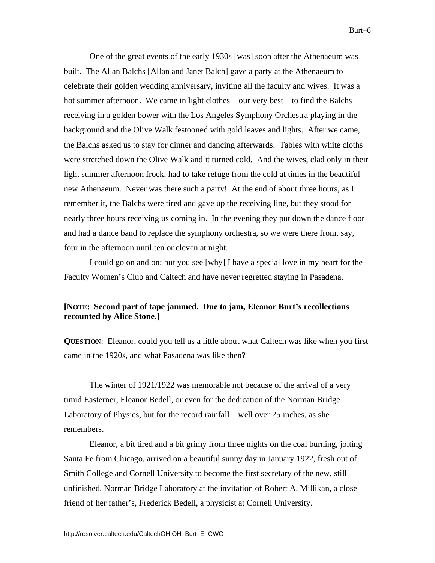Burt–6

<span id="page-11-0"></span>One of the great events of the early 1930s [was] soon after the Athenaeum was built. The Allan Balchs [Allan and Janet Balch] gave a party at the Athenaeum to celebrate their golden wedding anniversary, inviting all the faculty and wives. It was a hot summer afternoon. We came in light clothes—our very best—to find the Balchs receiving in a golden bower with the Los Angeles Symphony Orchestra playing in the background and the Olive Walk festooned with gold leaves and lights. After we came, the Balchs asked us to stay for dinner and dancing afterwards. Tables with white cloths were stretched down the Olive Walk and it turned cold. And the wives, clad only in their light summer afternoon frock, had to take refuge from the cold at times in the beautiful new Athenaeum. Never was there such a party! At the end of about three hours, as I remember it, the Balchs were tired and gave up the receiving line, but they stood for nearly three hours receiving us coming in. In the evening they put down the dance floor and had a dance band to replace the symphony orchestra, so we were there from, say, four in the afternoon until ten or eleven at night.

I could go on and on; but you see [why] I have a special love in my heart for the Faculty Women's Club and Caltech and have never regretted staying in Pasadena.

## **[NOTE: Second part of tape jammed. Due to jam, Eleanor Burt's recollections recounted by Alice Stone.]**

**QUESTION**: Eleanor, could you tell us a little about what Caltech was like when you first came in the 1920s, and what Pasadena was like then?

The winter of 1921/1922 was memorable not because of the arrival of a very timid Easterner, Eleanor Bedell, or even for the dedication of the Norman Bridge Laboratory of Physics, but for the record rainfall—well over 25 inches, as she remembers.

Eleanor, a bit tired and a bit grimy from three nights on the coal burning, jolting Santa Fe from Chicago, arrived on a beautiful sunny day in January 1922, fresh out of Smith College and Cornell University to become the first secretary of the new, still unfinished, Norman Bridge Laboratory at the invitation of Robert A. Millikan, a close friend of her father's, Frederick Bedell, a physicist at Cornell University.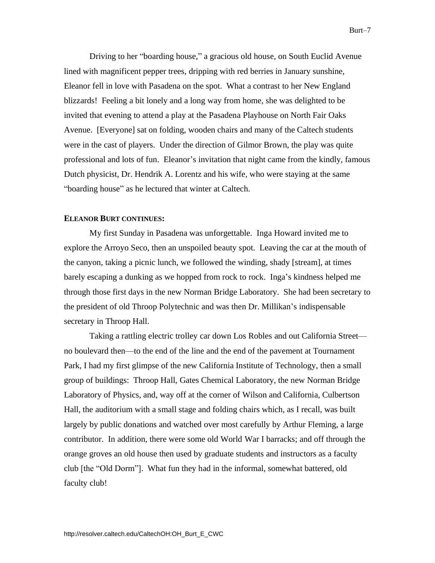Burt–7

Driving to her "boarding house," a gracious old house, on South Euclid Avenue lined with magnificent pepper trees, dripping with red berries in January sunshine, Eleanor fell in love with Pasadena on the spot. What a contrast to her New England blizzards! Feeling a bit lonely and a long way from home, she was delighted to be invited that evening to attend a play at the Pasadena Playhouse on North Fair Oaks Avenue. [Everyone] sat on folding, wooden chairs and many of the Caltech students were in the cast of players. Under the direction of Gilmor Brown, the play was quite professional and lots of fun. Eleanor's invitation that night came from the kindly, famous Dutch physicist, Dr. Hendrik A. Lorentz and his wife, who were staying at the same "boarding house" as he lectured that winter at Caltech.

#### **ELEANOR BURT CONTINUES:**

My first Sunday in Pasadena was unforgettable. Inga Howard invited me to explore the Arroyo Seco, then an unspoiled beauty spot. Leaving the car at the mouth of the canyon, taking a picnic lunch, we followed the winding, shady [stream], at times barely escaping a dunking as we hopped from rock to rock. Inga's kindness helped me through those first days in the new Norman Bridge Laboratory. She had been secretary to the president of old Throop Polytechnic and was then Dr. Millikan's indispensable secretary in Throop Hall.

Taking a rattling electric trolley car down Los Robles and out California Street no boulevard then—to the end of the line and the end of the pavement at Tournament Park, I had my first glimpse of the new California Institute of Technology, then a small group of buildings: Throop Hall, Gates Chemical Laboratory, the new Norman Bridge Laboratory of Physics, and, way off at the corner of Wilson and California, Culbertson Hall, the auditorium with a small stage and folding chairs which, as I recall, was built largely by public donations and watched over most carefully by Arthur Fleming, a large contributor. In addition, there were some old World War I barracks; and off through the orange groves an old house then used by graduate students and instructors as a faculty club [the "Old Dorm"]. What fun they had in the informal, somewhat battered, old faculty club!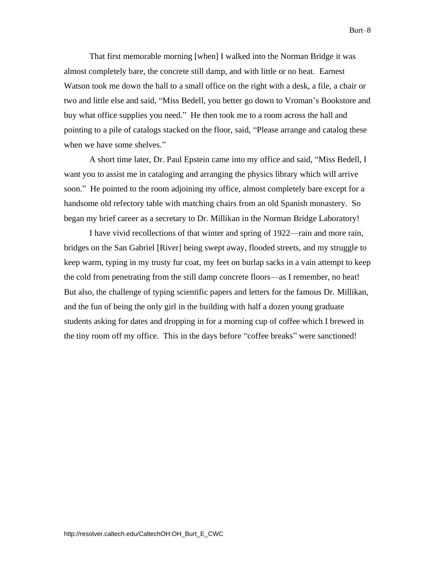That first memorable morning [when] I walked into the Norman Bridge it was almost completely bare, the concrete still damp, and with little or no heat. Earnest Watson took me down the hall to a small office on the right with a desk, a file, a chair or two and little else and said, "Miss Bedell, you better go down to Vroman's Bookstore and buy what office supplies you need." He then took me to a room across the hall and pointing to a pile of catalogs stacked on the floor, said, "Please arrange and catalog these when we have some shelves."

A short time later, Dr. Paul Epstein came into my office and said, "Miss Bedell, I want you to assist me in cataloging and arranging the physics library which will arrive soon." He pointed to the room adjoining my office, almost completely bare except for a handsome old refectory table with matching chairs from an old Spanish monastery. So began my brief career as a secretary to Dr. Millikan in the Norman Bridge Laboratory!

I have vivid recollections of that winter and spring of 1922—rain and more rain, bridges on the San Gabriel [River] being swept away, flooded streets, and my struggle to keep warm, typing in my trusty fur coat, my feet on burlap sacks in a vain attempt to keep the cold from penetrating from the still damp concrete floors—as I remember, no heat! But also, the challenge of typing scientific papers and letters for the famous Dr. Millikan, and the fun of being the only girl in the building with half a dozen young graduate students asking for dates and dropping in for a morning cup of coffee which I brewed in the tiny room off my office. This in the days before "coffee breaks" were sanctioned!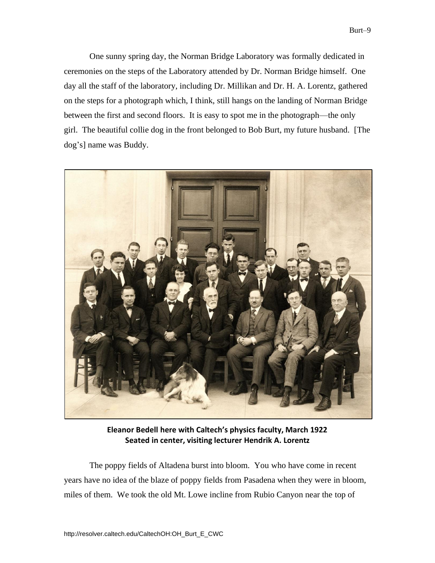<span id="page-14-0"></span>One sunny spring day, the Norman Bridge Laboratory was formally dedicated in ceremonies on the steps of the Laboratory attended by Dr. Norman Bridge himself. One day all the staff of the laboratory, including Dr. Millikan and Dr. H. A. Lorentz, gathered on the steps for a photograph which, I think, still hangs on the landing of Norman Bridge between the first and second floors. It is easy to spot me in the photograph—the only girl. The beautiful collie dog in the front belonged to Bob Burt, my future husband. [The dog's] name was Buddy.



**Eleanor Bedell here with Caltech's physics faculty, March 1922 Seated in center, visiting lecturer Hendrik A. Lorentz** 

The poppy fields of Altadena burst into bloom. You who have come in recent years have no idea of the blaze of poppy fields from Pasadena when they were in bloom, miles of them. We took the old Mt. Lowe incline from Rubio Canyon near the top of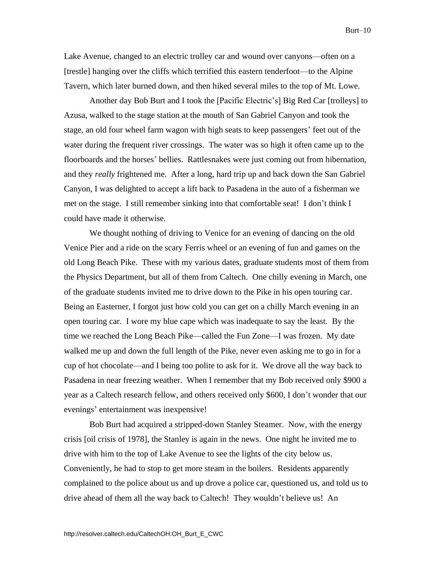Lake Avenue, changed to an electric trolley car and wound over canyons—often on a [trestle] hanging over the cliffs which terrified this eastern tenderfoot—to the Alpine Tavern, which later burned down, and then hiked several miles to the top of Mt. Lowe.

Another day Bob Burt and I took the [Pacific Electric's] Big Red Car [trolleys] to Azusa, walked to the stage station at the mouth of San Gabriel Canyon and took the stage, an old four wheel farm wagon with high seats to keep passengers' feet out of the water during the frequent river crossings. The water was so high it often came up to the floorboards and the horses' bellies. Rattlesnakes were just coming out from hibernation, and they *really* frightened me. After a long, hard trip up and back down the San Gabriel Canyon, I was delighted to accept a lift back to Pasadena in the auto of a fisherman we met on the stage. I still remember sinking into that comfortable seat! I don't think I could have made it otherwise.

We thought nothing of driving to Venice for an evening of dancing on the old Venice Pier and a ride on the scary Ferris wheel or an evening of fun and games on the old Long Beach Pike. These with my various dates, graduate students most of them from the Physics Department, but all of them from Caltech. One chilly evening in March, one of the graduate students invited me to drive down to the Pike in his open touring car. Being an Easterner, I forgot just how cold you can get on a chilly March evening in an open touring car. I wore my blue cape which was inadequate to say the least. By the time we reached the Long Beach Pike—called the Fun Zone—I was frozen. My date walked me up and down the full length of the Pike, never even asking me to go in for a cup of hot chocolate—and I being too polite to ask for it. We drove all the way back to Pasadena in near freezing weather. When I remember that my Bob received only \$900 a year as a Caltech research fellow, and others received only \$600, I don't wonder that our evenings' entertainment was inexpensive!

Bob Burt had acquired a stripped-down Stanley Steamer. Now, with the energy crisis [oil crisis of 1978], the Stanley is again in the news. One night he invited me to drive with him to the top of Lake Avenue to see the lights of the city below us. Conveniently, he had to stop to get more steam in the boilers. Residents apparently complained to the police about us and up drove a police car, questioned us, and told us to drive ahead of them all the way back to Caltech! They wouldn't believe us! An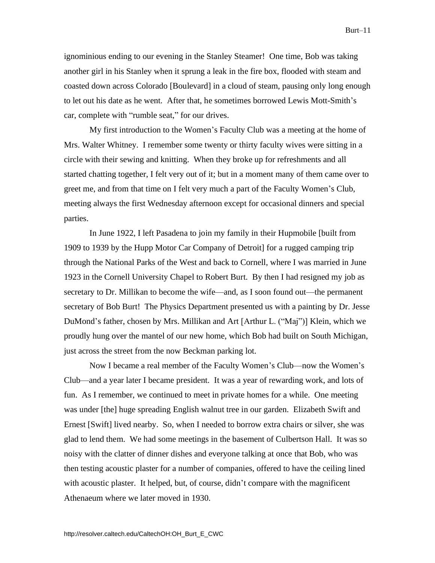Burt–11

<span id="page-16-0"></span>ignominious ending to our evening in the Stanley Steamer! One time, Bob was taking another girl in his Stanley when it sprung a leak in the fire box, flooded with steam and coasted down across Colorado [Boulevard] in a cloud of steam, pausing only long enough to let out his date as he went. After that, he sometimes borrowed Lewis Mott-Smith's car, complete with "rumble seat," for our drives.

My first introduction to the Women's Faculty Club was a meeting at the home of Mrs. Walter Whitney. I remember some twenty or thirty faculty wives were sitting in a circle with their sewing and knitting. When they broke up for refreshments and all started chatting together, I felt very out of it; but in a moment many of them came over to greet me, and from that time on I felt very much a part of the Faculty Women's Club, meeting always the first Wednesday afternoon except for occasional dinners and special parties.

In June 1922, I left Pasadena to join my family in their Hupmobile [built from 1909 to 1939 by the Hupp Motor Car Company of Detroit] for a rugged camping trip through the National Parks of the West and back to Cornell, where I was married in June 1923 in the Cornell University Chapel to Robert Burt. By then I had resigned my job as secretary to Dr. Millikan to become the wife—and, as I soon found out—the permanent secretary of Bob Burt! The Physics Department presented us with a painting by Dr. Jesse DuMond's father, chosen by Mrs. Millikan and Art [Arthur L. ("Maj")] Klein, which we proudly hung over the mantel of our new home, which Bob had built on South Michigan, just across the street from the now Beckman parking lot.

Now I became a real member of the Faculty Women's Club—now the Women's Club—and a year later I became president. It was a year of rewarding work, and lots of fun. As I remember, we continued to meet in private homes for a while. One meeting was under [the] huge spreading English walnut tree in our garden. Elizabeth Swift and Ernest [Swift] lived nearby. So, when I needed to borrow extra chairs or silver, she was glad to lend them. We had some meetings in the basement of Culbertson Hall. It was so noisy with the clatter of dinner dishes and everyone talking at once that Bob, who was then testing acoustic plaster for a number of companies, offered to have the ceiling lined with acoustic plaster. It helped, but, of course, didn't compare with the magnificent Athenaeum where we later moved in 1930.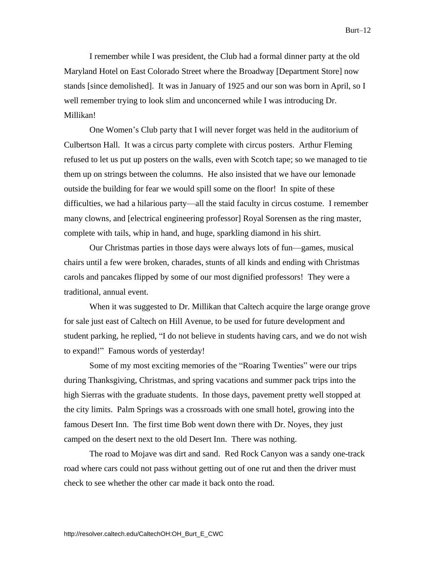<span id="page-17-0"></span>I remember while I was president, the Club had a formal dinner party at the old Maryland Hotel on East Colorado Street where the Broadway [Department Store] now stands [since demolished]. It was in January of 1925 and our son was born in April, so I well remember trying to look slim and unconcerned while I was introducing Dr. Millikan!

One Women's Club party that I will never forget was held in the auditorium of Culbertson Hall. It was a circus party complete with circus posters. Arthur Fleming refused to let us put up posters on the walls, even with Scotch tape; so we managed to tie them up on strings between the columns. He also insisted that we have our lemonade outside the building for fear we would spill some on the floor! In spite of these difficulties, we had a hilarious party—all the staid faculty in circus costume. I remember many clowns, and [electrical engineering professor] Royal Sorensen as the ring master, complete with tails, whip in hand, and huge, sparkling diamond in his shirt.

Our Christmas parties in those days were always lots of fun—games, musical chairs until a few were broken, charades, stunts of all kinds and ending with Christmas carols and pancakes flipped by some of our most dignified professors! They were a traditional, annual event.

When it was suggested to Dr. Millikan that Caltech acquire the large orange grove for sale just east of Caltech on Hill Avenue, to be used for future development and student parking, he replied, "I do not believe in students having cars, and we do not wish to expand!" Famous words of yesterday!

Some of my most exciting memories of the "Roaring Twenties" were our trips during Thanksgiving, Christmas, and spring vacations and summer pack trips into the high Sierras with the graduate students. In those days, pavement pretty well stopped at the city limits. Palm Springs was a crossroads with one small hotel, growing into the famous Desert Inn. The first time Bob went down there with Dr. Noyes, they just camped on the desert next to the old Desert Inn. There was nothing.

The road to Mojave was dirt and sand. Red Rock Canyon was a sandy one-track road where cars could not pass without getting out of one rut and then the driver must check to see whether the other car made it back onto the road.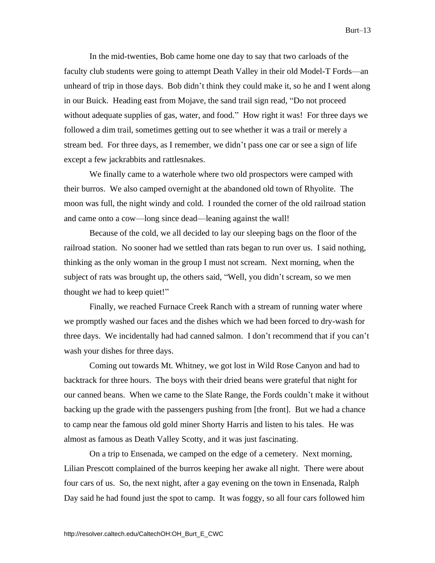In the mid-twenties, Bob came home one day to say that two carloads of the faculty club students were going to attempt Death Valley in their old Model-T Fords—an unheard of trip in those days. Bob didn't think they could make it, so he and I went along in our Buick. Heading east from Mojave, the sand trail sign read, "Do not proceed without adequate supplies of gas, water, and food." How right it was! For three days we followed a dim trail, sometimes getting out to see whether it was a trail or merely a stream bed. For three days, as I remember, we didn't pass one car or see a sign of life except a few jackrabbits and rattlesnakes.

We finally came to a waterhole where two old prospectors were camped with their burros. We also camped overnight at the abandoned old town of Rhyolite. The moon was full, the night windy and cold. I rounded the corner of the old railroad station and came onto a cow—long since dead—leaning against the wall!

Because of the cold, we all decided to lay our sleeping bags on the floor of the railroad station. No sooner had we settled than rats began to run over us. I said nothing, thinking as the only woman in the group I must not scream. Next morning, when the subject of rats was brought up, the others said, "Well, you didn't scream, so we men thought *we* had to keep quiet!"

Finally, we reached Furnace Creek Ranch with a stream of running water where we promptly washed our faces and the dishes which we had been forced to dry-wash for three days. We incidentally had had canned salmon. I don't recommend that if you can't wash your dishes for three days.

Coming out towards Mt. Whitney, we got lost in Wild Rose Canyon and had to backtrack for three hours. The boys with their dried beans were grateful that night for our canned beans. When we came to the Slate Range, the Fords couldn't make it without backing up the grade with the passengers pushing from [the front]. But we had a chance to camp near the famous old gold miner Shorty Harris and listen to his tales. He was almost as famous as Death Valley Scotty, and it was just fascinating.

On a trip to Ensenada, we camped on the edge of a cemetery. Next morning, Lilian Prescott complained of the burros keeping her awake all night. There were about four cars of us. So, the next night, after a gay evening on the town in Ensenada, Ralph Day said he had found just the spot to camp. It was foggy, so all four cars followed him